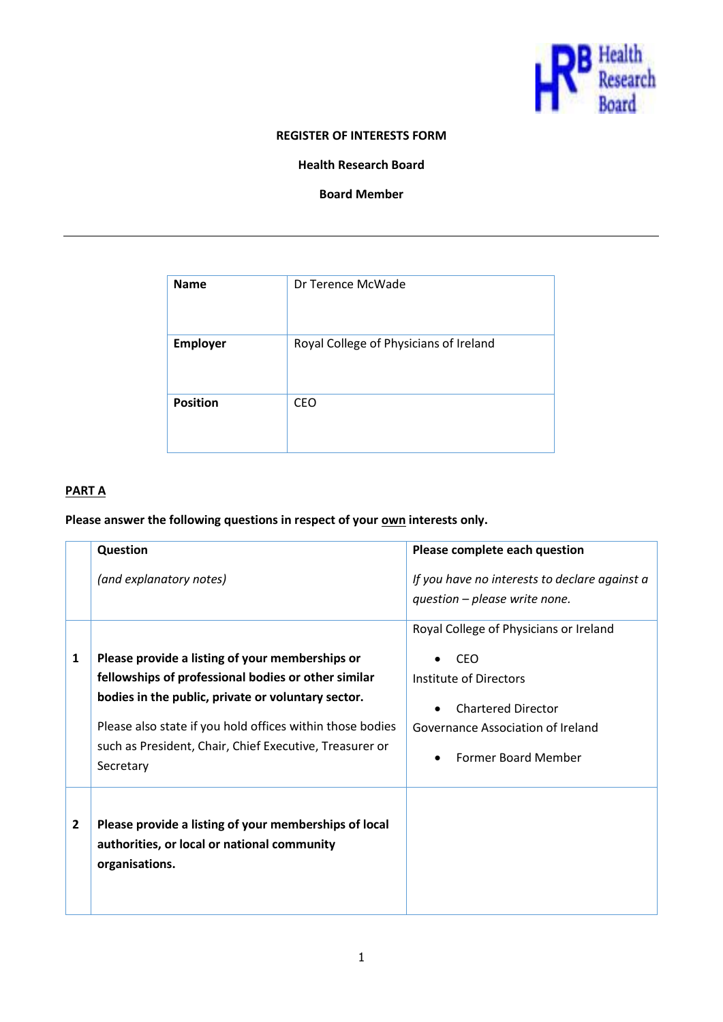

#### **REGISTER OF INTERESTS FORM**

**Health Research Board**

**Board Member**

| <b>Name</b>     | Dr Terence McWade                      |
|-----------------|----------------------------------------|
| <b>Employer</b> | Royal College of Physicians of Ireland |
| <b>Position</b> | <b>CEO</b>                             |

# **PART A**

# Please answer the following questions in respect of your **own** interests only.

|                | Question                                                                                                                                                                                                                                                                                          | Please complete each question                                                                                                                                           |
|----------------|---------------------------------------------------------------------------------------------------------------------------------------------------------------------------------------------------------------------------------------------------------------------------------------------------|-------------------------------------------------------------------------------------------------------------------------------------------------------------------------|
|                | (and explanatory notes)                                                                                                                                                                                                                                                                           | If you have no interests to declare against a<br>question - please write none.                                                                                          |
| 1              | Please provide a listing of your memberships or<br>fellowships of professional bodies or other similar<br>bodies in the public, private or voluntary sector.<br>Please also state if you hold offices within those bodies<br>such as President, Chair, Chief Executive, Treasurer or<br>Secretary | Royal College of Physicians or Ireland<br>CEO<br>Institute of Directors<br><b>Chartered Director</b><br>Governance Association of Ireland<br><b>Former Board Member</b> |
| $\overline{2}$ | Please provide a listing of your memberships of local<br>authorities, or local or national community<br>organisations.                                                                                                                                                                            |                                                                                                                                                                         |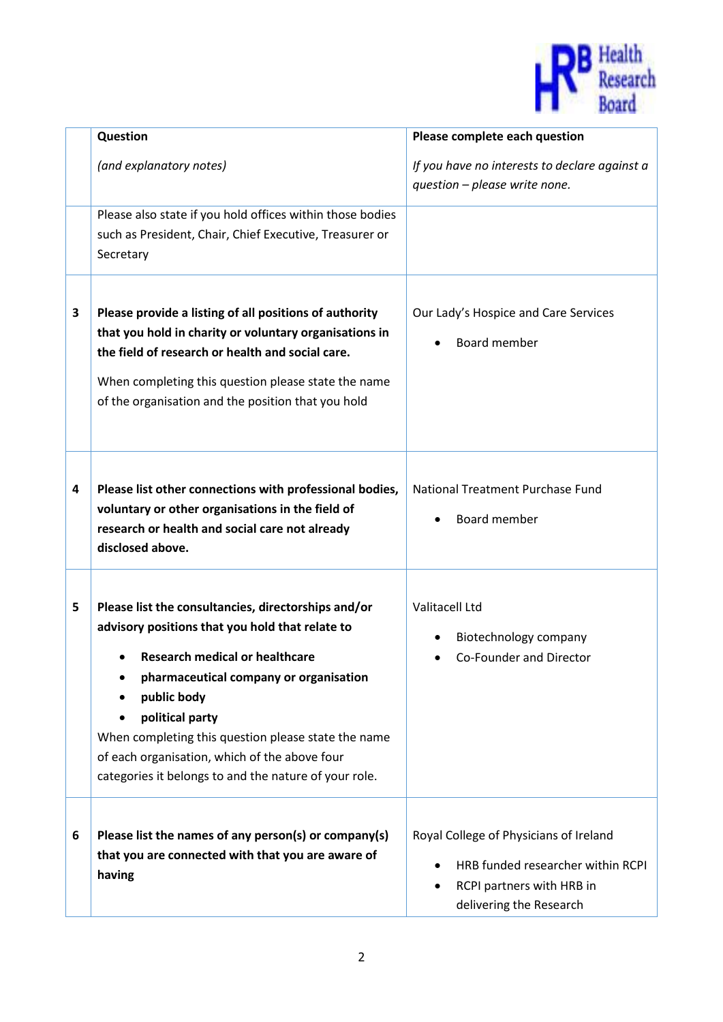

|   | Question                                                                                                                                                                                                                                                                                                                                                                                     | Please complete each question                                                                                                       |
|---|----------------------------------------------------------------------------------------------------------------------------------------------------------------------------------------------------------------------------------------------------------------------------------------------------------------------------------------------------------------------------------------------|-------------------------------------------------------------------------------------------------------------------------------------|
|   | (and explanatory notes)                                                                                                                                                                                                                                                                                                                                                                      | If you have no interests to declare against a<br>question - please write none.                                                      |
|   | Please also state if you hold offices within those bodies<br>such as President, Chair, Chief Executive, Treasurer or<br>Secretary                                                                                                                                                                                                                                                            |                                                                                                                                     |
| 3 | Please provide a listing of all positions of authority<br>that you hold in charity or voluntary organisations in<br>the field of research or health and social care.<br>When completing this question please state the name<br>of the organisation and the position that you hold                                                                                                            | Our Lady's Hospice and Care Services<br>Board member                                                                                |
| 4 | Please list other connections with professional bodies,<br>voluntary or other organisations in the field of<br>research or health and social care not already<br>disclosed above.                                                                                                                                                                                                            | National Treatment Purchase Fund<br>Board member                                                                                    |
| 5 | Please list the consultancies, directorships and/or<br>advisory positions that you hold that relate to<br><b>Research medical or healthcare</b><br>pharmaceutical company or organisation<br>public body<br>political party<br>When completing this question please state the name<br>of each organisation, which of the above four<br>categories it belongs to and the nature of your role. | Valitacell Ltd<br>Biotechnology company<br>Co-Founder and Director                                                                  |
| 6 | Please list the names of any person(s) or company(s)<br>that you are connected with that you are aware of<br>having                                                                                                                                                                                                                                                                          | Royal College of Physicians of Ireland<br>HRB funded researcher within RCPI<br>RCPI partners with HRB in<br>delivering the Research |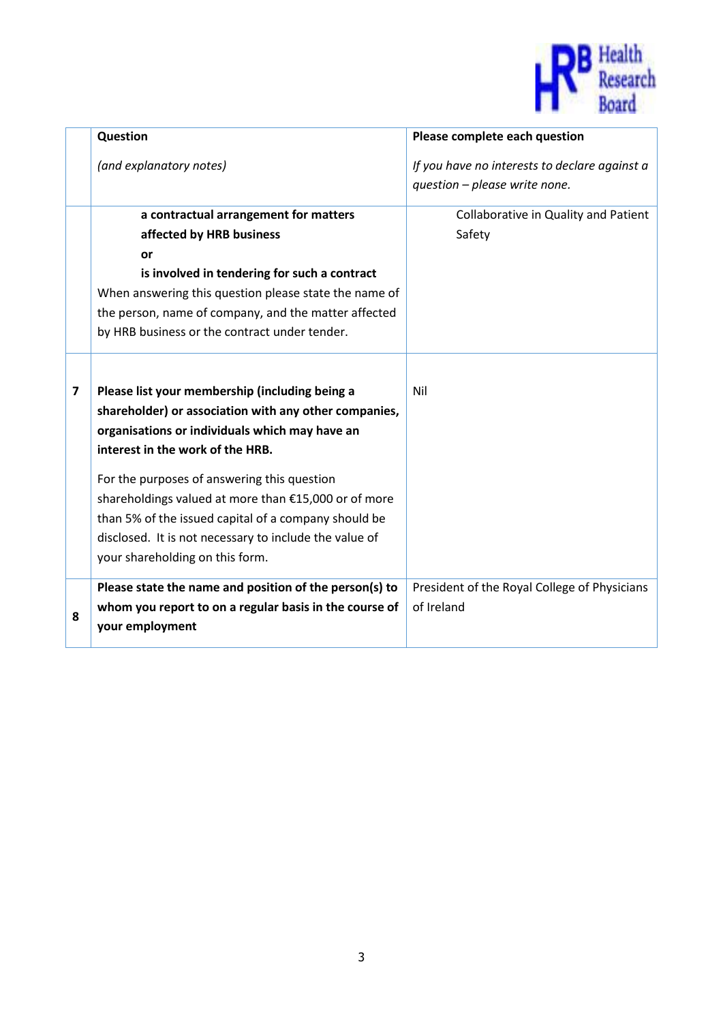

|   | Question                                                                                                                                                                                                                                                                                                                                                                                                                                                  | Please complete each question                                                  |
|---|-----------------------------------------------------------------------------------------------------------------------------------------------------------------------------------------------------------------------------------------------------------------------------------------------------------------------------------------------------------------------------------------------------------------------------------------------------------|--------------------------------------------------------------------------------|
|   | (and explanatory notes)                                                                                                                                                                                                                                                                                                                                                                                                                                   | If you have no interests to declare against a<br>question - please write none. |
|   | a contractual arrangement for matters<br>affected by HRB business<br>or<br>is involved in tendering for such a contract<br>When answering this question please state the name of<br>the person, name of company, and the matter affected<br>by HRB business or the contract under tender.                                                                                                                                                                 | Collaborative in Quality and Patient<br>Safety                                 |
| 7 | Please list your membership (including being a<br>shareholder) or association with any other companies,<br>organisations or individuals which may have an<br>interest in the work of the HRB.<br>For the purposes of answering this question<br>shareholdings valued at more than €15,000 or of more<br>than 5% of the issued capital of a company should be<br>disclosed. It is not necessary to include the value of<br>your shareholding on this form. | Nil                                                                            |
| 8 | Please state the name and position of the person(s) to<br>whom you report to on a regular basis in the course of<br>your employment                                                                                                                                                                                                                                                                                                                       | President of the Royal College of Physicians<br>of Ireland                     |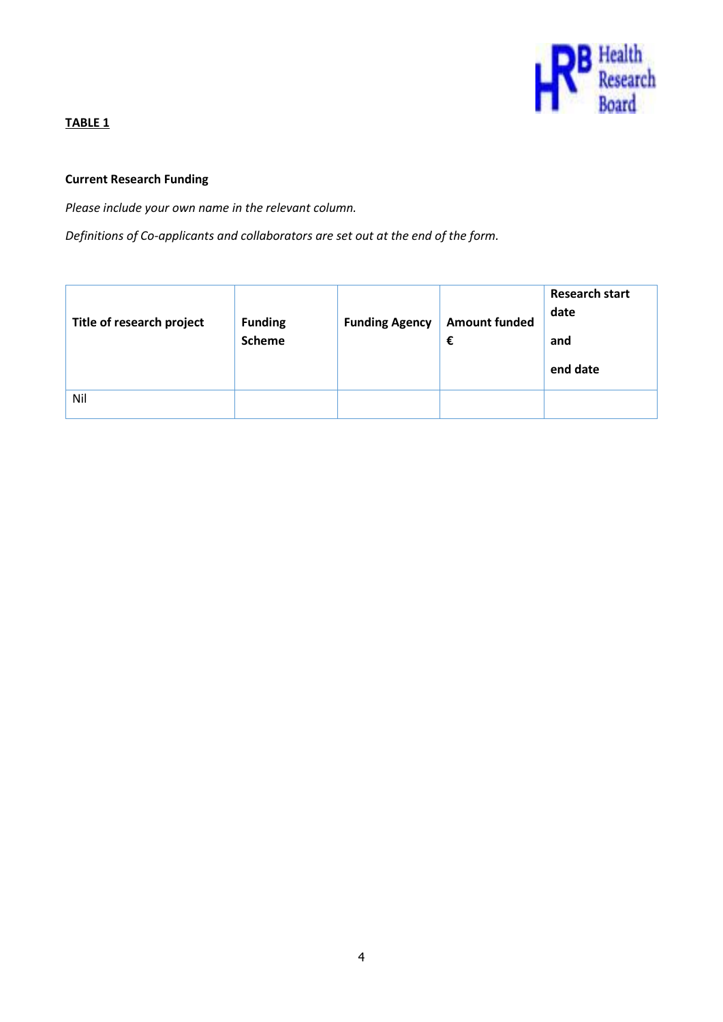

# **TABLE 1**

# **Current Research Funding**

*Please include your own name in the relevant column.* 

*Definitions of Co-applicants and collaborators are set out at the end of the form.*

| Title of research project | <b>Funding</b><br><b>Scheme</b> | <b>Funding Agency</b> | <b>Amount funded</b><br>€ | <b>Research start</b><br>date<br>and<br>end date |
|---------------------------|---------------------------------|-----------------------|---------------------------|--------------------------------------------------|
| Nil                       |                                 |                       |                           |                                                  |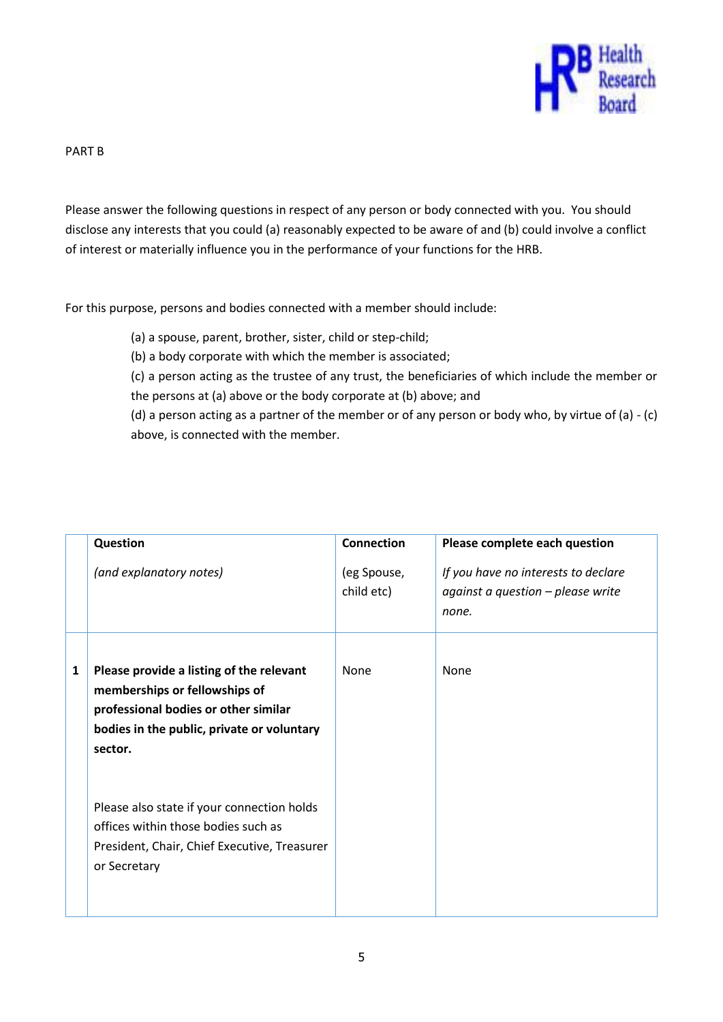

#### PART B

Please answer the following questions in respect of any person or body connected with you. You should disclose any interests that you could (a) reasonably expected to be aware of and (b) could involve a conflict of interest or materially influence you in the performance of your functions for the HRB.

For this purpose, persons and bodies connected with a member should include:

(a) a spouse, parent, brother, sister, child or step-child;

(b) a body corporate with which the member is associated;

(c) a person acting as the trustee of any trust, the beneficiaries of which include the member or the persons at (a) above or the body corporate at (b) above; and

(d) a person acting as a partner of the member or of any person or body who, by virtue of (a) - (c) above, is connected with the member.

|   | Question                                                                                                                                                                   | <b>Connection</b>         | Please complete each question                                                     |
|---|----------------------------------------------------------------------------------------------------------------------------------------------------------------------------|---------------------------|-----------------------------------------------------------------------------------|
|   | (and explanatory notes)                                                                                                                                                    | (eg Spouse,<br>child etc) | If you have no interests to declare<br>against a question - please write<br>none. |
| 1 | Please provide a listing of the relevant<br>memberships or fellowships of<br>professional bodies or other similar<br>bodies in the public, private or voluntary<br>sector. | None                      | None                                                                              |
|   | Please also state if your connection holds<br>offices within those bodies such as<br>President, Chair, Chief Executive, Treasurer<br>or Secretary                          |                           |                                                                                   |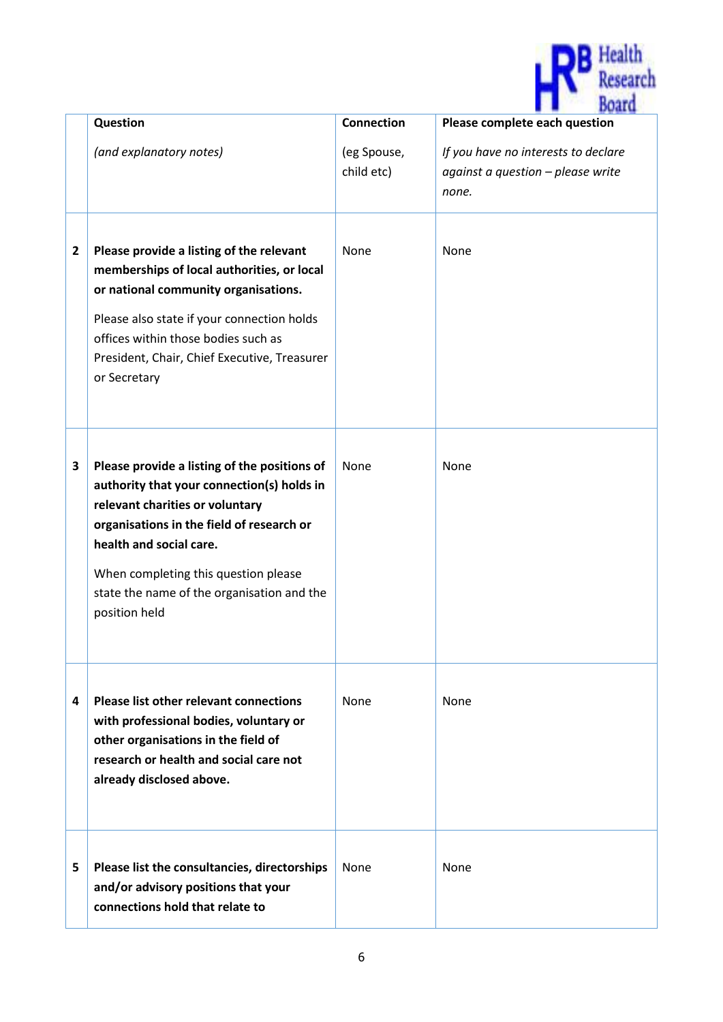

|                         | Question                                                                                                                                                                                                                                                                                                     | <b>Connection</b>         | <b><i>SALARATA</i></b><br>Please complete each question                           |
|-------------------------|--------------------------------------------------------------------------------------------------------------------------------------------------------------------------------------------------------------------------------------------------------------------------------------------------------------|---------------------------|-----------------------------------------------------------------------------------|
|                         | (and explanatory notes)                                                                                                                                                                                                                                                                                      | (eg Spouse,<br>child etc) | If you have no interests to declare<br>against a question - please write<br>none. |
| $\overline{\mathbf{2}}$ | Please provide a listing of the relevant<br>memberships of local authorities, or local<br>or national community organisations.<br>Please also state if your connection holds<br>offices within those bodies such as<br>President, Chair, Chief Executive, Treasurer<br>or Secretary                          | None                      | None                                                                              |
| 3                       | Please provide a listing of the positions of<br>authority that your connection(s) holds in<br>relevant charities or voluntary<br>organisations in the field of research or<br>health and social care.<br>When completing this question please<br>state the name of the organisation and the<br>position held | None                      | None                                                                              |
| 4                       | <b>Please list other relevant connections</b><br>with professional bodies, voluntary or<br>other organisations in the field of<br>research or health and social care not<br>already disclosed above.                                                                                                         | None                      | None                                                                              |
| 5                       | Please list the consultancies, directorships<br>and/or advisory positions that your<br>connections hold that relate to                                                                                                                                                                                       | None                      | None                                                                              |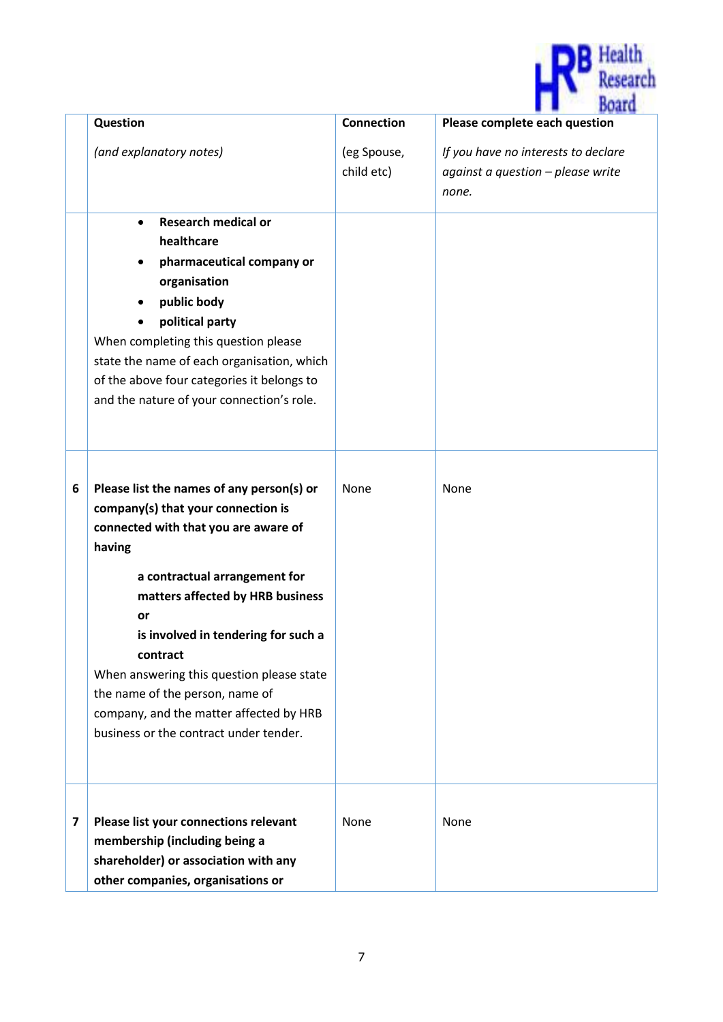

|   | Question                                                                                                                                                                                                                                                                                                                                                                                                                             | <b>Connection</b>         | <b><i>PAPER FR</i></b><br>Please complete each question                           |
|---|--------------------------------------------------------------------------------------------------------------------------------------------------------------------------------------------------------------------------------------------------------------------------------------------------------------------------------------------------------------------------------------------------------------------------------------|---------------------------|-----------------------------------------------------------------------------------|
|   | (and explanatory notes)                                                                                                                                                                                                                                                                                                                                                                                                              | (eg Spouse,<br>child etc) | If you have no interests to declare<br>against a question - please write<br>none. |
|   | <b>Research medical or</b><br>$\bullet$<br>healthcare<br>pharmaceutical company or<br>organisation<br>public body<br>$\bullet$<br>political party<br>When completing this question please<br>state the name of each organisation, which<br>of the above four categories it belongs to<br>and the nature of your connection's role.                                                                                                   |                           |                                                                                   |
| 6 | Please list the names of any person(s) or<br>company(s) that your connection is<br>connected with that you are aware of<br>having<br>a contractual arrangement for<br>matters affected by HRB business<br>or<br>is involved in tendering for such a<br>contract<br>When answering this question please state<br>the name of the person, name of<br>company, and the matter affected by HRB<br>business or the contract under tender. | None                      | None                                                                              |
| 7 | Please list your connections relevant<br>membership (including being a<br>shareholder) or association with any<br>other companies, organisations or                                                                                                                                                                                                                                                                                  | None                      | None                                                                              |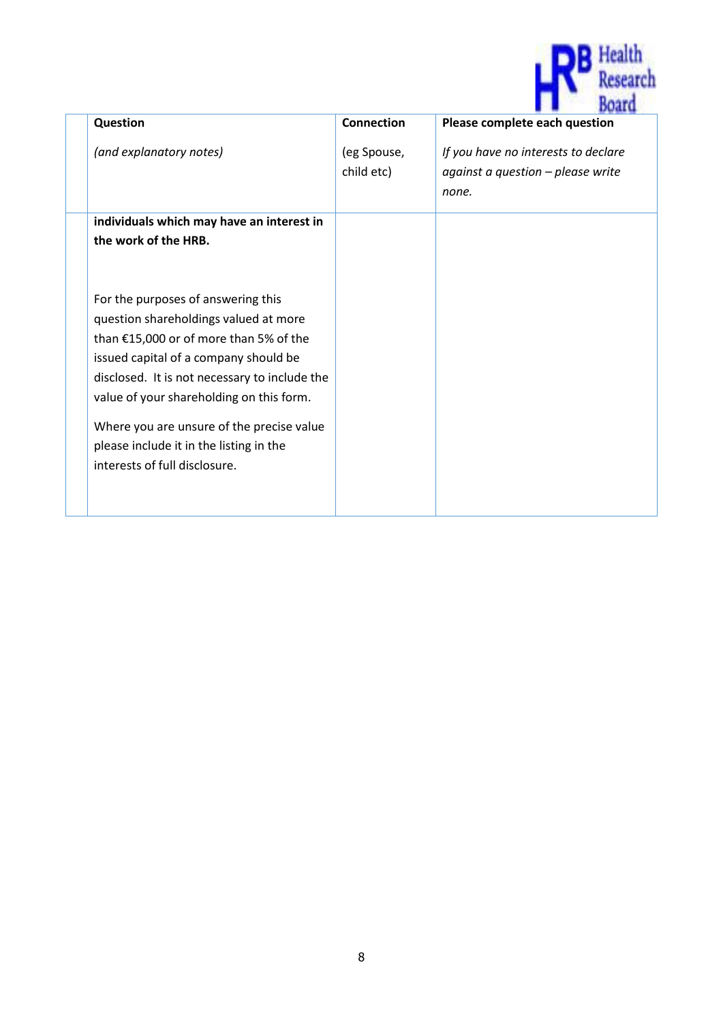

| Question                                                                                                                                                                                                                                                                                                                                                                             | <b>Connection</b>         | <b>SALES DER AR</b><br>Please complete each question                                |
|--------------------------------------------------------------------------------------------------------------------------------------------------------------------------------------------------------------------------------------------------------------------------------------------------------------------------------------------------------------------------------------|---------------------------|-------------------------------------------------------------------------------------|
| (and explanatory notes)                                                                                                                                                                                                                                                                                                                                                              | (eg Spouse,<br>child etc) | If you have no interests to declare<br>against a question $-p$ lease write<br>none. |
| individuals which may have an interest in<br>the work of the HRB.                                                                                                                                                                                                                                                                                                                    |                           |                                                                                     |
| For the purposes of answering this<br>question shareholdings valued at more<br>than €15,000 or of more than 5% of the<br>issued capital of a company should be<br>disclosed. It is not necessary to include the<br>value of your shareholding on this form.<br>Where you are unsure of the precise value<br>please include it in the listing in the<br>interests of full disclosure. |                           |                                                                                     |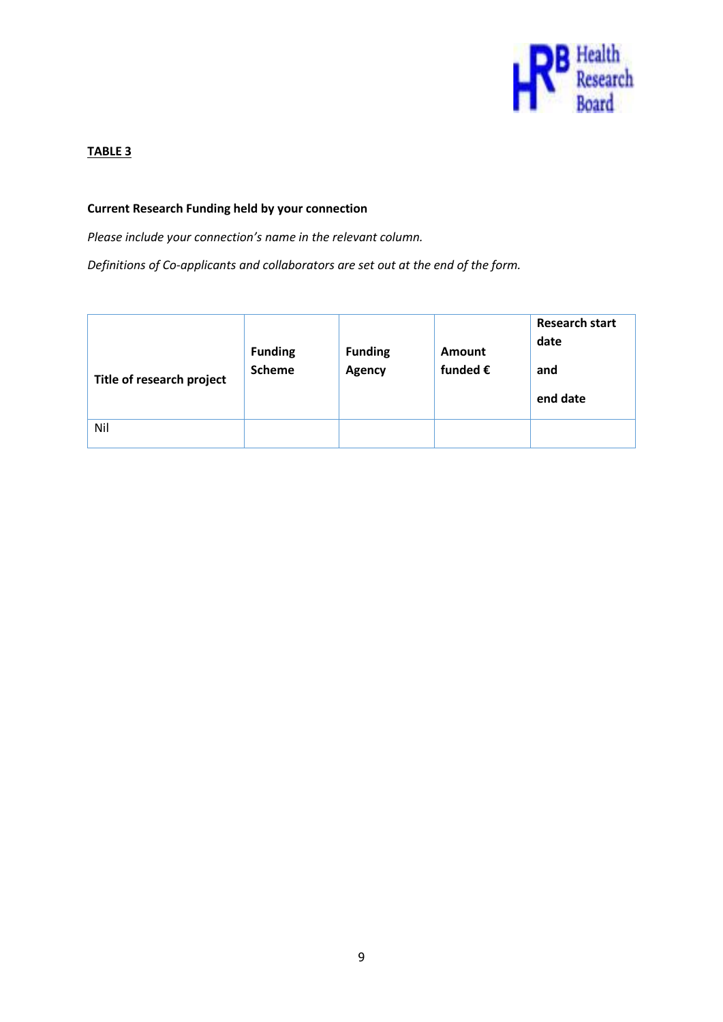

#### **TABLE 3**

#### **Current Research Funding held by your connection**

*Please include your connection's name in the relevant column.* 

*Definitions of Co-applicants and collaborators are set out at the end of the form.*

| Title of research project | <b>Funding</b><br><b>Scheme</b> | <b>Funding</b><br>Agency | <b>Amount</b><br>funded $\epsilon$ | <b>Research start</b><br>date<br>and<br>end date |
|---------------------------|---------------------------------|--------------------------|------------------------------------|--------------------------------------------------|
| Nil                       |                                 |                          |                                    |                                                  |